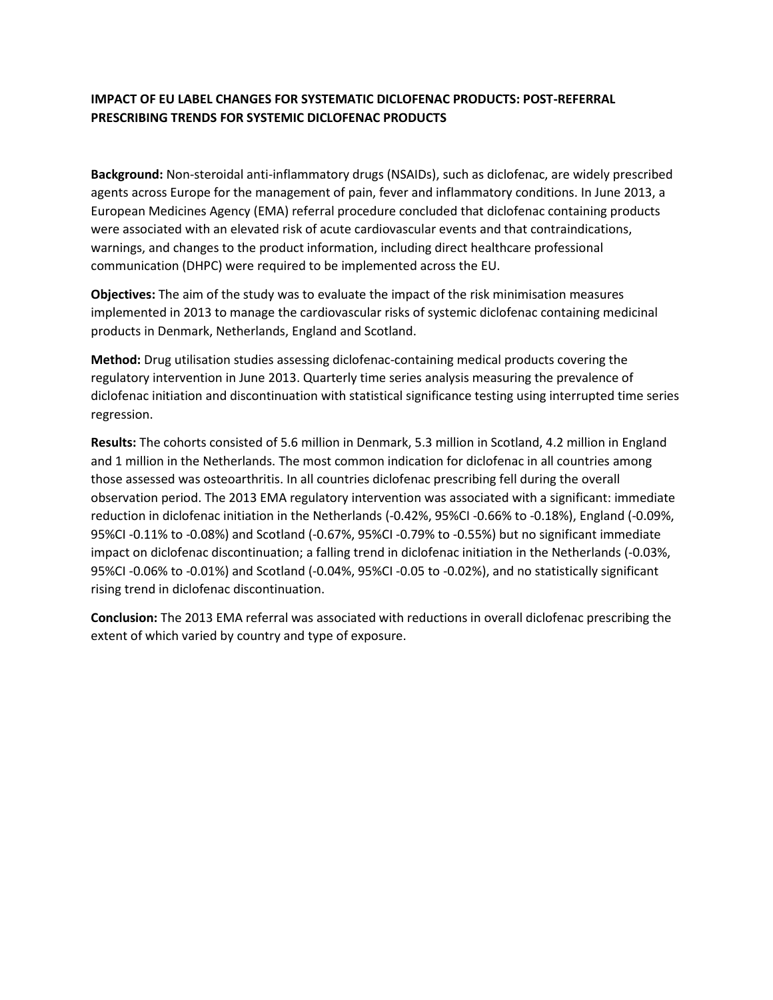## **IMPACT OF EU LABEL CHANGES FOR SYSTEMATIC DICLOFENAC PRODUCTS: POST-REFERRAL PRESCRIBING TRENDS FOR SYSTEMIC DICLOFENAC PRODUCTS**

**Background:** Non-steroidal anti-inflammatory drugs (NSAIDs), such as diclofenac, are widely prescribed agents across Europe for the management of pain, fever and inflammatory conditions. In June 2013, a European Medicines Agency (EMA) referral procedure concluded that diclofenac containing products were associated with an elevated risk of acute cardiovascular events and that contraindications, warnings, and changes to the product information, including direct healthcare professional communication (DHPC) were required to be implemented across the EU.

**Objectives:** The aim of the study was to evaluate the impact of the risk minimisation measures implemented in 2013 to manage the cardiovascular risks of systemic diclofenac containing medicinal products in Denmark, Netherlands, England and Scotland.

**Method:** Drug utilisation studies assessing diclofenac-containing medical products covering the regulatory intervention in June 2013. Quarterly time series analysis measuring the prevalence of diclofenac initiation and discontinuation with statistical significance testing using interrupted time series regression.

**Results:** The cohorts consisted of 5.6 million in Denmark, 5.3 million in Scotland, 4.2 million in England and 1 million in the Netherlands. The most common indication for diclofenac in all countries among those assessed was osteoarthritis. In all countries diclofenac prescribing fell during the overall observation period. The 2013 EMA regulatory intervention was associated with a significant: immediate reduction in diclofenac initiation in the Netherlands (-0.42%, 95%CI -0.66% to -0.18%), England (-0.09%, 95%CI -0.11% to -0.08%) and Scotland (-0.67%, 95%CI -0.79% to -0.55%) but no significant immediate impact on diclofenac discontinuation; a falling trend in diclofenac initiation in the Netherlands (-0.03%, 95%CI -0.06% to -0.01%) and Scotland (-0.04%, 95%CI -0.05 to -0.02%), and no statistically significant rising trend in diclofenac discontinuation.

**Conclusion:** The 2013 EMA referral was associated with reductions in overall diclofenac prescribing the extent of which varied by country and type of exposure.